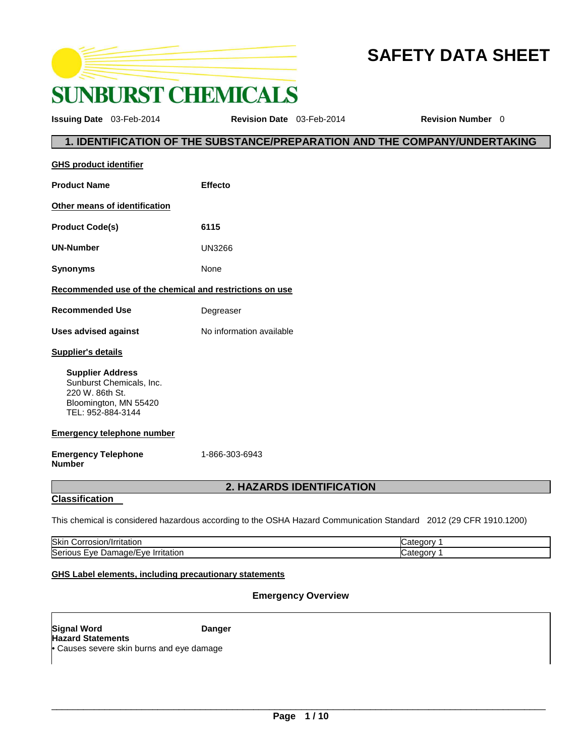

# **SAFETY DATA SHEET**

**Issuing Date** 03-Feb-2014 **Revision Date** 03-Feb-2014 **Revision Number** 0

# **1. IDENTIFICATION OF THE SUBSTANCE/PREPARATION AND THE COMPANY/UNDERTAKING**

| <b>GHS product identifier</b>                                                                                        |                                  |
|----------------------------------------------------------------------------------------------------------------------|----------------------------------|
| <b>Product Name</b>                                                                                                  | Effecto                          |
| Other means of identification                                                                                        |                                  |
| <b>Product Code(s)</b>                                                                                               | 6115                             |
| <b>UN-Number</b>                                                                                                     | UN3266                           |
| <b>Synonyms</b>                                                                                                      | None                             |
| Recommended use of the chemical and restrictions on use                                                              |                                  |
| <b>Recommended Use</b>                                                                                               | Degreaser                        |
| <b>Uses advised against</b>                                                                                          | No information available         |
| <b>Supplier's details</b>                                                                                            |                                  |
| <b>Supplier Address</b><br>Sunburst Chemicals, Inc.<br>220 W. 86th St.<br>Bloomington, MN 55420<br>TEL: 952-884-3144 |                                  |
| <b>Emergency telephone number</b>                                                                                    |                                  |
| <b>Emergency Telephone</b><br><b>Number</b>                                                                          | 1-866-303-6943                   |
|                                                                                                                      | <b>2. HAZARDS IDENTIFICATION</b> |
| <b>Classification</b>                                                                                                |                                  |

This chemical is considered hazardous according to the OSHA Hazard Communication Standard 2012 (29 CFR 1910.1200)

| Skin<br>.nr<br>тапог                            |  |
|-------------------------------------------------|--|
| Seric<br>-۷۵<br>тапог<br>$\overline{ }$<br>ור י |  |

# **GHS Label elements, including precautionary statements**

# **Emergency Overview**

**Signal Word Communist Communist Communist Communist Danger Hazard Statements** • Causes severe skin burns and eye damage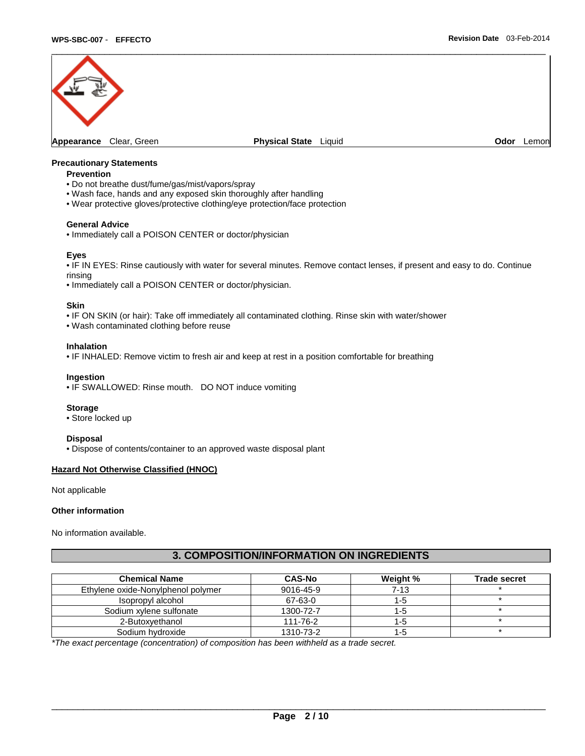

### **Precautionary Statements**

#### **Prevention**

- Do not breathe dust/fume/gas/mist/vapors/spray
- Wash face, hands and any exposed skin thoroughly after handling
- Wear protective gloves/protective clothing/eye protection/face protection

#### **General Advice**

• Immediately call a POISON CENTER or doctor/physician

#### **Eyes**

• IF IN EYES: Rinse cautiously with water for several minutes. Remove contact lenses, if present and easy to do. Continue rinsing

• Immediately call a POISON CENTER or doctor/physician.

#### **Skin**

• IF ON SKIN (or hair): Take off immediately all contaminated clothing. Rinse skin with water/shower

• Wash contaminated clothing before reuse

#### **Inhalation**

• IF INHALED: Remove victim to fresh air and keep at rest in a position comfortable for breathing

# **Ingestion**

• IF SWALLOWED: Rinse mouth. DO NOT induce vomiting

#### **Storage**

• Store locked up

#### **Disposal**

• Dispose of contents/container to an approved waste disposal plant

# **Hazard Not Otherwise Classified (HNOC)**

Not applicable

#### **Other information**

No information available.

# **3. COMPOSITION/INFORMATION ON INGREDIENTS**

| <b>Chemical Name</b>               | <b>CAS-No</b> | Weight % | <b>Trade secret</b> |
|------------------------------------|---------------|----------|---------------------|
| Ethylene oxide-Nonylphenol polymer | 9016-45-9     | $7 - 13$ |                     |
| Isopropyl alcohol                  | 67-63-0       | 1-5      |                     |
| Sodium xylene sulfonate            | 1300-72-7     | 1-5      |                     |
| 2-Butoxvethanol                    | 111-76-2      | 1-5      |                     |
| Sodium hydroxide                   | 1310-73-2     | 1-5      |                     |

\*The exact percentage (concentration) of composition has been withheld as a trade secret.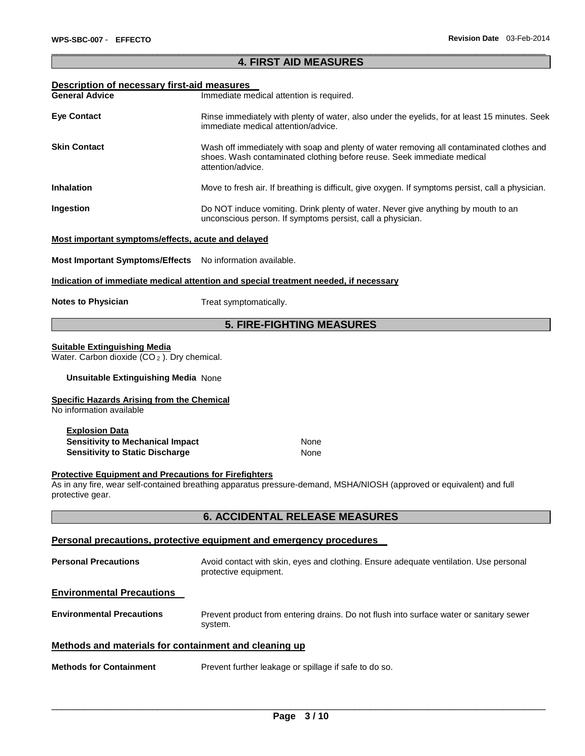# \_\_\_\_\_\_\_\_\_\_\_\_\_\_\_\_\_\_\_\_\_\_\_\_\_\_\_\_\_\_\_\_\_\_\_\_\_\_\_\_\_\_\_\_\_\_\_\_\_\_\_\_\_\_\_\_\_\_\_\_\_\_\_\_\_\_\_\_\_\_\_\_\_\_\_\_\_\_\_\_\_\_\_\_\_\_\_\_\_\_\_\_\_ **4. FIRST AID MEASURES**

### **Description of necessary first-aid measures**

| <b>General Advice</b> | Immediate medical attention is required.                                                                                                                                                |
|-----------------------|-----------------------------------------------------------------------------------------------------------------------------------------------------------------------------------------|
| <b>Eye Contact</b>    | Rinse immediately with plenty of water, also under the eyelids, for at least 15 minutes. Seek<br>immediate medical attention/advice.                                                    |
| <b>Skin Contact</b>   | Wash off immediately with soap and plenty of water removing all contaminated clothes and<br>shoes. Wash contaminated clothing before reuse. Seek immediate medical<br>attention/advice. |
| <b>Inhalation</b>     | Move to fresh air. If breathing is difficult, give oxygen. If symptoms persist, call a physician.                                                                                       |
| Ingestion             | Do NOT induce vomiting. Drink plenty of water. Never give anything by mouth to an<br>unconscious person. If symptoms persist, call a physician.                                         |

### **Most important symptoms/effects, acute and delayed**

**Most Important Symptoms/Effects** No information available.

#### **Indication of immediate medical attention and special treatment needed, if necessary**

**Notes to Physician**  Treat symptomatically.

# **5. FIRE-FIGHTING MEASURES**

#### **Suitable Extinguishing Media**

Water. Carbon dioxide  $(CO_2)$ . Dry chemical.

### **Unsuitable Extinguishing Media** None

#### **Specific Hazards Arising from the Chemical**

No information available

| <b>Explosion Data</b>            |      |
|----------------------------------|------|
| Sensitivity to Mechanical Impact | None |
| Sensitivity to Static Discharge  | None |

# **Protective Equipment and Precautions for Firefighters**

As in any fire, wear self-contained breathing apparatus pressure-demand, MSHA/NIOSH (approved or equivalent) and full protective gear.

# **6. ACCIDENTAL RELEASE MEASURES**

### **Personal precautions, protective equipment and emergency procedures**

| <b>Personal Precautions</b>                           | Avoid contact with skin, eyes and clothing. Ensure adequate ventilation. Use personal<br>protective equipment. |  |
|-------------------------------------------------------|----------------------------------------------------------------------------------------------------------------|--|
| <b>Environmental Precautions</b>                      |                                                                                                                |  |
| <b>Environmental Precautions</b>                      | Prevent product from entering drains. Do not flush into surface water or sanitary sewer<br>system.             |  |
| Methods and materials for containment and cleaning up |                                                                                                                |  |
| <b>Methods for Containment</b>                        | Prevent further leakage or spillage if safe to do so.                                                          |  |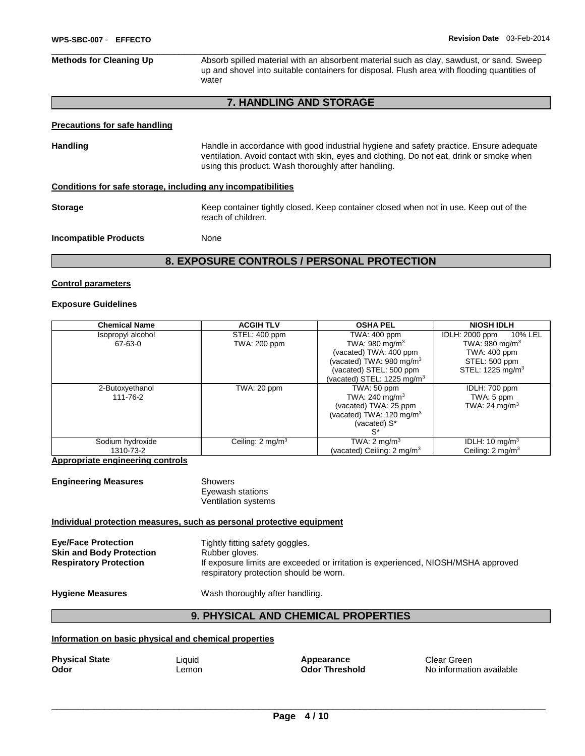\_\_\_\_\_\_\_\_\_\_\_\_\_\_\_\_\_\_\_\_\_\_\_\_\_\_\_\_\_\_\_\_\_\_\_\_\_\_\_\_\_\_\_\_\_\_\_\_\_\_\_\_\_\_\_\_\_\_\_\_\_\_\_\_\_\_\_\_\_\_\_\_\_\_\_\_\_\_\_\_\_\_\_\_\_\_\_\_\_\_\_\_\_ **Methods for Cleaning Up Absorb spilled material with an absorbent material such as clay, sawdust, or sand. Sweep** up and shovel into suitable containers for disposal. Flush area with flooding quantities of water

# **7. HANDLING AND STORAGE**

#### **Precautions for safe handling**

Handling **Handle in accordance with good industrial hygiene and safety practice. Ensure adequate** ventilation. Avoid contact with skin, eyes and clothing. Do not eat, drink or smoke when using this product. Wash thoroughly after handling.

#### **Conditions for safe storage, including any incompatibilities**

**Storage The Container Storage Storage Container tightly closed. Keep container closed when not in use. Keep out of the** reach of children.

**Incompatible Products** None

**8. EXPOSURE CONTROLS / PERSONAL PROTECTION** 

#### **Control parameters**

#### **Exposure Guidelines**

| <b>Chemical Name</b> | <b>ACGIH TLV</b>            | <b>OSHA PEL</b>                       | <b>NIOSH IDLH</b>            |
|----------------------|-----------------------------|---------------------------------------|------------------------------|
| Isopropyl alcohol    | STEL: 400 ppm               | TWA: 400 ppm                          | IDLH: 2000 ppm<br>10% LEL    |
| 67-63-0              | TWA: 200 ppm                | TWA: $980 \text{ mg/m}^3$             | TWA: 980 mg/m $3$            |
|                      |                             | (vacated) TWA: 400 ppm                | TWA: 400 ppm                 |
|                      |                             | (vacated) TWA: 980 mg/m <sup>3</sup>  | STEL: 500 ppm                |
|                      |                             | (vacated) STEL: 500 ppm               | STEL: 1225 mg/m <sup>3</sup> |
|                      |                             | (vacated) STEL: 1225 mg/m $3$         |                              |
| 2-Butoxyethanol      | TWA: 20 ppm                 | TWA: $50$ ppm                         | IDLH: 700 ppm                |
| 111-76-2             |                             | TWA: 240 mg/m $3$                     | TWA: 5 ppm                   |
|                      |                             | (vacated) TWA: 25 ppm                 | TWA: 24 mg/m <sup>3</sup>    |
|                      |                             | (vacated) TWA: $120 \text{ mg/m}^3$   |                              |
|                      |                             | (vacated) S*                          |                              |
|                      |                             | $S^*$                                 |                              |
| Sodium hydroxide     | Ceiling: $2 \text{ mg/m}^3$ | TWA: $2 \text{ mg/m}^3$               | IDLH: $10 \text{ mg/m}^3$    |
| 1310-73-2            |                             | (vacated) Ceiling: $2 \text{ mg/m}^3$ | Ceiling: 2 mg/m <sup>3</sup> |

**Appropriate engineering controls**

| <b>Engineering Measures</b> | Showers             |
|-----------------------------|---------------------|
|                             | Eyewash stations    |
|                             | Ventilation systems |

#### **Individual protection measures, such as personal protective equipment**

| <b>Eve/Face Protection</b><br><b>Skin and Body Protection</b><br><b>Respiratory Protection</b> | Tightly fitting safety goggles.<br>Rubber gloves.<br>If exposure limits are exceeded or irritation is experienced, NIOSH/MSHA approved<br>respiratory protection should be worn. |
|------------------------------------------------------------------------------------------------|----------------------------------------------------------------------------------------------------------------------------------------------------------------------------------|
|                                                                                                |                                                                                                                                                                                  |

Hygiene Measures **Mask Constructs** Wash thoroughly after handling.

# **9. PHYSICAL AND CHEMICAL PROPERTIES**

#### **Information on basic physical and chemical properties**

| <b>Physical State</b> |  |
|-----------------------|--|
| Odor                  |  |

**Physical State Industry Appearance Clear Green**<br> **Physical State Clear Contract Clear Clear Clear Clear Clear Clear Clear Clear Clear Clear Clear Clear Clear** 

**Lemon Color Threshold No information available**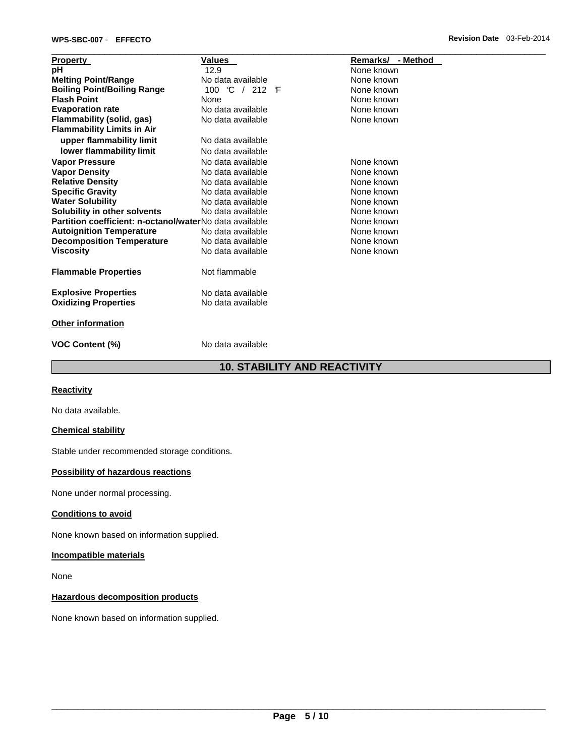| <b>Property</b>                                         | Values                        | Remarks/ - Method |
|---------------------------------------------------------|-------------------------------|-------------------|
| рH                                                      | 12.9                          | None known        |
| <b>Melting Point/Range</b>                              | No data available             | None known        |
| <b>Boiling Point/Boiling Range</b>                      | 100 $\degree$ / 212 $\degree$ | None known        |
| <b>Flash Point</b>                                      | None                          | None known        |
| <b>Evaporation rate</b>                                 | No data available             | None known        |
| Flammability (solid, gas)                               | No data available             | None known        |
| <b>Flammability Limits in Air</b>                       |                               |                   |
| upper flammability limit                                | No data available             |                   |
| lower flammability limit                                | No data available             |                   |
| <b>Vapor Pressure</b>                                   | No data available             | None known        |
| <b>Vapor Density</b>                                    | No data available             | None known        |
| <b>Relative Density</b>                                 | No data available             | None known        |
| <b>Specific Gravity</b>                                 | No data available             | None known        |
| <b>Water Solubility</b>                                 | No data available             | None known        |
| Solubility in other solvents                            | No data available             | None known        |
| Partition coefficient: n-octanol/waterNo data available |                               | None known        |
| <b>Autoignition Temperature</b>                         | No data available             | None known        |
| <b>Decomposition Temperature</b>                        | No data available             | None known        |
| <b>Viscosity</b>                                        | No data available             | None known        |
| <b>Flammable Properties</b>                             | Not flammable                 |                   |
| <b>Explosive Properties</b>                             | No data available             |                   |
| <b>Oxidizing Properties</b>                             | No data available             |                   |
| <b>Other information</b>                                |                               |                   |
| <b>VOC Content (%)</b>                                  | No data available             |                   |

# **10. STABILITY AND REACTIVITY**

# **Reactivity**

No data available.

# **Chemical stability**

Stable under recommended storage conditions.

# **Possibility of hazardous reactions**

None under normal processing.

# **Conditions to avoid**

None known based on information supplied.

# **Incompatible materials**

None

# **Hazardous decomposition products**

None known based on information supplied.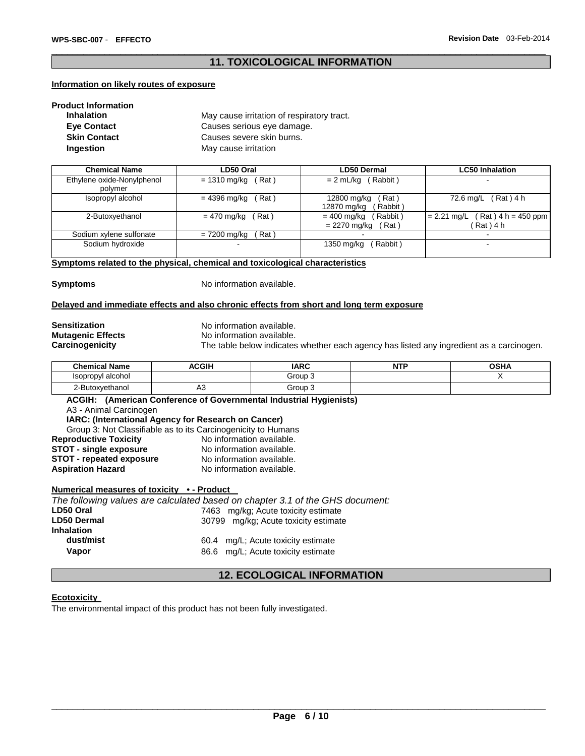# \_\_\_\_\_\_\_\_\_\_\_\_\_\_\_\_\_\_\_\_\_\_\_\_\_\_\_\_\_\_\_\_\_\_\_\_\_\_\_\_\_\_\_\_\_\_\_\_\_\_\_\_\_\_\_\_\_\_\_\_\_\_\_\_\_\_\_\_\_\_\_\_\_\_\_\_\_\_\_\_\_\_\_\_\_\_\_\_\_\_\_\_\_ **11. TOXICOLOGICAL INFORMATION**

# **Information on likely routes of exposure**

| <b>Product Information</b> |                                            |
|----------------------------|--------------------------------------------|
| <b>Inhalation</b>          | May cause irritation of respiratory tract. |
| <b>Eye Contact</b>         | Causes serious eye damage.                 |
| <b>Skin Contact</b>        | Causes severe skin burns.                  |
| <b>Ingestion</b>           | May cause irritation                       |

| <b>Chemical Name</b>                  | LD50 Oral             | <b>LD50 Dermal</b>                               | <b>LC50 Inhalation</b>                              |
|---------------------------------------|-----------------------|--------------------------------------------------|-----------------------------------------------------|
| Ethylene oxide-Nonylphenol<br>polymer | = 1310 mg/kg<br>(Rat) | $= 2$ mL/kg (Rabbit)                             |                                                     |
| Isopropyl alcohol                     | Rat)<br>= 4396 mg/kg  | 12800 mg/kg<br>ั Rat )<br>Rabbit)<br>12870 mg/kg | 72.6 mg/L (Rat) 4 h                                 |
| 2-Butoxyethanol                       | = 470 mg/kg<br>Rat)   | Rabbit)<br>= 400 mg/kg<br>= 2270 mg/kg<br>Rat)   | $Rat$ + 4 h = 450 ppm<br>$= 2.21$ mg/L<br>Rat ) 4 h |
| Sodium xylene sulfonate               | Rat)<br>= 7200 mg/kg  |                                                  |                                                     |
| Sodium hydroxide                      |                       | Rabbit)<br>1350 mg/kg                            |                                                     |

# **Symptoms related to the physical, chemical and toxicological characteristics**

**Symptoms** No information available.

# **Delayed and immediate effects and also chronic effects from short and long term exposure**

**Sensitization** No information available. **Mutagenic Effects No information available.**<br> **Carcinogenicity** The table below indicates

The table below indicates whether each agency has listed any ingredient as a carcinogen.

| <b>Chemical Name</b> | <b>ACGIH</b> | <b>IARC</b> | <b>NUTE</b><br>N<br>. . | <b>OSHA</b> |
|----------------------|--------------|-------------|-------------------------|-------------|
| Isopropyl alcohol    |              | Group 3     |                         |             |
| 2-Butoxyethanol      | Δ≎<br>∽∿     | Group 3     |                         |             |

**ACGIH: (American Conference of Governmental Industrial Hygienists)** A3 - Animal Carcinogen **IARC: (International Agency for Research on Cancer)** Group 3: Not Classifiable as to its Carcinogenicity to Humans<br> **Social Containery Containery** No information available. **Reproductive Toxicity <b>No information available.**<br>
STOT - single exposure **No information available. STOT - single exposure No information available.**<br>**STOT - repeated exposure No information available. STOT - repeated exposure Aspiration Hazard Moleco Example 2018** No information available.

# **Numerical measures of toxicity • - Product**

|                    | The following values are calculated based on chapter 3.1 of the GHS document: |
|--------------------|-------------------------------------------------------------------------------|
| LD50 Oral          | 7463 mg/kg; Acute toxicity estimate                                           |
| <b>LD50 Dermal</b> | 30799 mg/kg; Acute toxicity estimate                                          |
| <b>Inhalation</b>  |                                                                               |
| dust/mist          | 60.4 mg/L; Acute toxicity estimate                                            |
| Vapor              | 86.6 mg/L; Acute toxicity estimate                                            |

# **12. ECOLOGICAL INFORMATION**

# **Ecotoxicity**

The environmental impact of this product has not been fully investigated.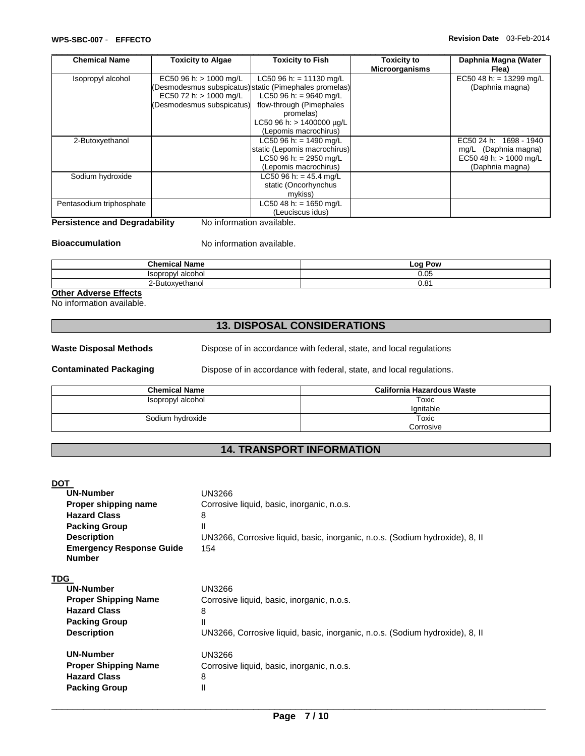| <b>Chemical Name</b>     | <b>Toxicity to Algae</b>  | <b>Toxicity to Fish</b>                                | <b>Toxicity to</b>    | Daphnia Magna (Water              |
|--------------------------|---------------------------|--------------------------------------------------------|-----------------------|-----------------------------------|
|                          |                           |                                                        | <b>Microorganisms</b> | Flea)                             |
| Isopropyl alcohol        | EC50 96 h: $> 1000$ mg/L  | LC50 96 h: = 11130 mg/L                                |                       | EC50 48 h: = $13299 \text{ mg/L}$ |
|                          |                           | (Desmodesmus subspicatus) static (Pimephales promelas) |                       | (Daphnia magna)                   |
|                          | EC50 72 h: > 1000 mg/L    | LC50 96 h: = 9640 mg/L                                 |                       |                                   |
|                          | (Desmodesmus subspicatus) | flow-through (Pimephales                               |                       |                                   |
|                          |                           | promelas)                                              |                       |                                   |
|                          |                           | LC50 96 h: $> 1400000 \mu g/L$                         |                       |                                   |
|                          |                           | (Lepomis macrochirus)                                  |                       |                                   |
| 2-Butoxyethanol          |                           | LC50 96 h: = $1490$ mg/L                               |                       | EC50 24 h: 1698 - 1940            |
|                          |                           | static (Lepomis macrochirus)                           |                       | mg/L (Daphnia magna)              |
|                          |                           | LC50 96 h: = 2950 mg/L                                 |                       | EC50 48 h: > 1000 mg/L            |
|                          |                           | (Lepomis macrochirus)                                  |                       | (Daphnia magna)                   |
| Sodium hydroxide         |                           | LC50 96 h: = $45.4$ mg/L                               |                       |                                   |
|                          |                           | static (Oncorhynchus                                   |                       |                                   |
|                          |                           | mykiss)                                                |                       |                                   |
| Pentasodium triphosphate |                           | LC50 48 h: = 1650 mg/L                                 |                       |                                   |
|                          |                           | (Leuciscus idus)                                       |                       |                                   |

# **Persistence and Degradability** No information available.

# **Bioaccumulation** No information available.

| .<br><b>Chemical</b><br>Name               | Pow<br><b>LOO</b> |
|--------------------------------------------|-------------------|
| alcohol<br><i><b>Isopropyl</b></i>         | 0.05              |
| vethanol<br>.<br>∩צ∩<br>Ju lai<br><u>_</u> | י הר<br>U.O I     |

# **Other Adverse Effects**

No information available.

# **13. DISPOSAL CONSIDERATIONS**

Waste Disposal Methods **Dispose of in accordance with federal, state, and local regulations** 

**Contaminated Packaging <b>Dispose** of in accordance with federal, state, and local regulations.

| <b>Chemical Name</b> | California Hazardous Waste |
|----------------------|----------------------------|
| Isopropyl alcohol    | Toxic                      |
|                      | lanitable                  |
| Sodium hydroxide     | Toxic                      |
|                      | Corrosive                  |

# **14. TRANSPORT INFORMATION**

# DOT

| <b>UN-Number</b>                                 | <b>UN3266</b>                                                                |
|--------------------------------------------------|------------------------------------------------------------------------------|
| Proper shipping name                             | Corrosive liquid, basic, inorganic, n.o.s.                                   |
| <b>Hazard Class</b>                              | 8                                                                            |
| <b>Packing Group</b>                             | Ш                                                                            |
| <b>Description</b>                               | UN3266, Corrosive liquid, basic, inorganic, n.o.s. (Sodium hydroxide), 8, II |
| <b>Emergency Response Guide</b><br><b>Number</b> | 154                                                                          |
| <b>TDG</b>                                       |                                                                              |
| <b>UN-Number</b>                                 | UN3266                                                                       |
| <b>Proper Shipping Name</b>                      | Corrosive liquid, basic, inorganic, n.o.s.                                   |
| <b>Hazard Class</b>                              | 8                                                                            |
| <b>Packing Group</b>                             | Ш                                                                            |
| <b>Description</b>                               | UN3266, Corrosive liquid, basic, inorganic, n.o.s. (Sodium hydroxide), 8, II |
| <b>UN-Number</b>                                 | UN3266                                                                       |
| <b>Proper Shipping Name</b>                      | Corrosive liquid, basic, inorganic, n.o.s.                                   |
| <b>Hazard Class</b>                              | 8                                                                            |
| <b>Packing Group</b>                             | Ш                                                                            |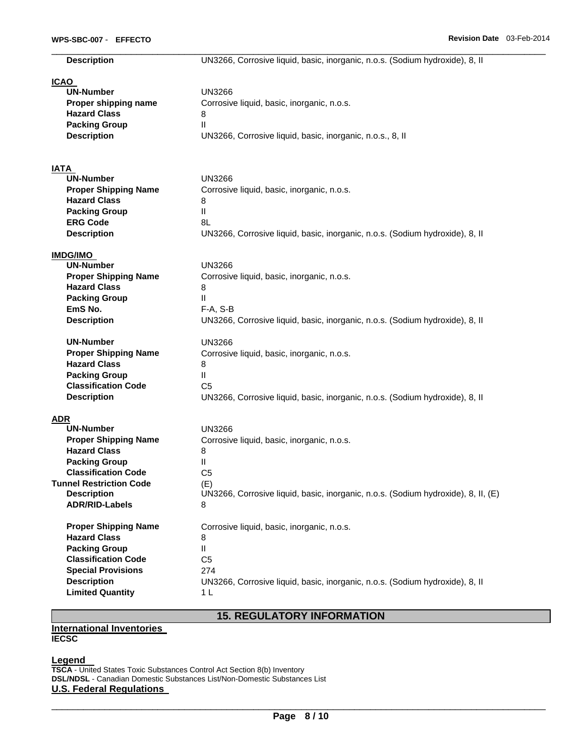| <b>Description</b>              | UN3266, Corrosive liquid, basic, inorganic, n.o.s. (Sodium hydroxide), 8, II      |
|---------------------------------|-----------------------------------------------------------------------------------|
| <b>ICAO</b>                     |                                                                                   |
| <b>UN-Number</b>                | <b>UN3266</b>                                                                     |
| Proper shipping name            | Corrosive liquid, basic, inorganic, n.o.s.                                        |
| <b>Hazard Class</b>             | 8                                                                                 |
| <b>Packing Group</b>            | Ш                                                                                 |
| <b>Description</b>              | UN3266, Corrosive liquid, basic, inorganic, n.o.s., 8, II                         |
|                                 |                                                                                   |
| <b>IATA</b><br><b>UN-Number</b> | UN3266                                                                            |
| <b>Proper Shipping Name</b>     |                                                                                   |
| <b>Hazard Class</b>             | Corrosive liquid, basic, inorganic, n.o.s.<br>8                                   |
| <b>Packing Group</b>            | Ш                                                                                 |
| <b>ERG Code</b>                 | 8L                                                                                |
| <b>Description</b>              |                                                                                   |
|                                 | UN3266, Corrosive liquid, basic, inorganic, n.o.s. (Sodium hydroxide), 8, II      |
| <b>IMDG/IMO</b>                 |                                                                                   |
| <b>UN-Number</b>                | <b>UN3266</b>                                                                     |
| <b>Proper Shipping Name</b>     | Corrosive liquid, basic, inorganic, n.o.s.                                        |
| <b>Hazard Class</b>             | 8                                                                                 |
| <b>Packing Group</b>            | Ш                                                                                 |
| EmS No.                         | $F-A, S-B$                                                                        |
| <b>Description</b>              | UN3266, Corrosive liquid, basic, inorganic, n.o.s. (Sodium hydroxide), 8, II      |
| <b>UN-Number</b>                | <b>UN3266</b>                                                                     |
| <b>Proper Shipping Name</b>     | Corrosive liquid, basic, inorganic, n.o.s.                                        |
| <b>Hazard Class</b>             | 8                                                                                 |
| <b>Packing Group</b>            | Ш.                                                                                |
| <b>Classification Code</b>      | C <sub>5</sub>                                                                    |
| <b>Description</b>              | UN3266, Corrosive liquid, basic, inorganic, n.o.s. (Sodium hydroxide), 8, II      |
| <b>ADR</b>                      |                                                                                   |
| <b>UN-Number</b>                | <b>UN3266</b>                                                                     |
| <b>Proper Shipping Name</b>     | Corrosive liquid, basic, inorganic, n.o.s.                                        |
| <b>Hazard Class</b>             | 8                                                                                 |
| <b>Packing Group</b>            | Ш                                                                                 |
| <b>Classification Code</b>      | C <sub>5</sub>                                                                    |
| <b>Tunnel Restriction Code</b>  | (E)                                                                               |
| <b>Description</b>              | UN3266, Corrosive liquid, basic, inorganic, n.o.s. (Sodium hydroxide), 8, II, (E) |
| <b>ADR/RID-Labels</b>           | 8                                                                                 |
| <b>Proper Shipping Name</b>     | Corrosive liquid, basic, inorganic, n.o.s.                                        |
| <b>Hazard Class</b>             | 8                                                                                 |
| <b>Packing Group</b>            | $\mathbf{H}$                                                                      |
| <b>Classification Code</b>      | C <sub>5</sub>                                                                    |
| <b>Special Provisions</b>       | 274                                                                               |
| <b>Description</b>              | UN3266, Corrosive liquid, basic, inorganic, n.o.s. (Sodium hydroxide), 8, II      |
| <b>Limited Quantity</b>         | 1 <sub>L</sub>                                                                    |

# **International Inventories IECSC**

### **Legend**

**TSCA** - United States Toxic Substances Control Act Section 8(b) Inventory **DSL/NDSL** - Canadian Domestic Substances List/Non-Domestic Substances List **U.S. Federal Regulations** 

**15. REGULATORY INFORMATION**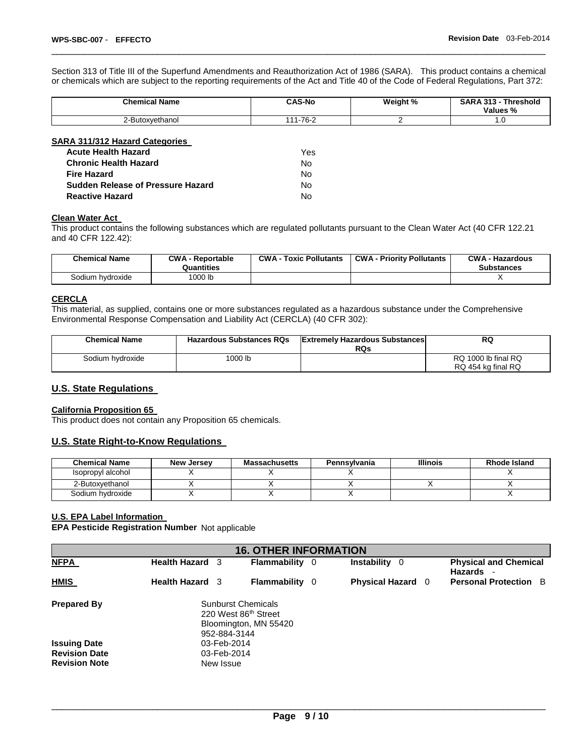Section 313 of Title III of the Superfund Amendments and Reauthorization Act of 1986 (SARA). This product contains a chemical or chemicals which are subject to the reporting requirements of the Act and Title 40 of the Code of Federal Regulations, Part 372:

\_\_\_\_\_\_\_\_\_\_\_\_\_\_\_\_\_\_\_\_\_\_\_\_\_\_\_\_\_\_\_\_\_\_\_\_\_\_\_\_\_\_\_\_\_\_\_\_\_\_\_\_\_\_\_\_\_\_\_\_\_\_\_\_\_\_\_\_\_\_\_\_\_\_\_\_\_\_\_\_\_\_\_\_\_\_\_\_\_\_\_\_\_

| <b>Chemical Name</b>    | <b>CAS-No</b> | Weight % | <b>SARA 313 -</b><br>Threshold<br>Values,<br>70 |
|-------------------------|---------------|----------|-------------------------------------------------|
| Butoxyethanol<br>ווורו- | 7C<br>-ים     |          | $\cdot\cdot$                                    |

| SARA 311/312 Hazard Categories           |     |
|------------------------------------------|-----|
| <b>Acute Health Hazard</b>               | Yes |
| <b>Chronic Health Hazard</b>             | No  |
| <b>Fire Hazard</b>                       | Nο  |
| <b>Sudden Release of Pressure Hazard</b> | N٥  |
| <b>Reactive Hazard</b>                   |     |

#### **Clean Water Act**

This product contains the following substances which are regulated pollutants pursuant to the Clean Water Act (40 CFR 122.21 and 40 CFR 122.42):

| <b>Chemical Name</b> | <b>CWA - Reportable</b><br>Quantities | <b>CWA - Toxic Pollutants</b> | <b>CWA - Priority Pollutants</b> | <b>CWA - Hazardous</b><br><b>Substances</b> |
|----------------------|---------------------------------------|-------------------------------|----------------------------------|---------------------------------------------|
| Sodium hydroxide     | 1000 lb                               |                               |                                  |                                             |

# **CERCLA**

This material, as supplied, contains one or more substances regulated as a hazardous substance under the Comprehensive Environmental Response Compensation and Liability Act (CERCLA) (40 CFR 302):

| <b>Chemical Name</b> | <b>Hazardous Substances RQs</b> | <b>Extremely Hazardous Substances</b><br>RQs | <b>RQ</b>                                 |
|----------------------|---------------------------------|----------------------------------------------|-------------------------------------------|
| Sodium hydroxide     | <sup>1</sup> 000 lb             |                                              | RQ 1000 lb final RQ<br>RQ 454 kg final RQ |

# **U.S. State Regulations**

#### **California Proposition 65**

This product does not contain any Proposition 65 chemicals.

# **U.S. State Right-to-Know Regulations**

| <b>Chemical Name</b> | <b>New Jersey</b> | <b>Massachusetts</b> | Pennsylvania | <b>Illinois</b> | <b>Rhode Island</b> |
|----------------------|-------------------|----------------------|--------------|-----------------|---------------------|
| Isopropyl alcohol    |                   |                      |              |                 |                     |
| 2-Butoxvethanol      |                   |                      |              |                 |                     |
| Sodium hvdroxide     |                   |                      |              |                 |                     |

# **U.S. EPA Label Information**

**EPA Pesticide Registration Number** Not applicable

| <b>16. OTHER INFORMATION</b> |                                                                                            |                       |     |                          |                                           |  |  |  |
|------------------------------|--------------------------------------------------------------------------------------------|-----------------------|-----|--------------------------|-------------------------------------------|--|--|--|
| <b>NFPA</b>                  | <b>Health Hazard</b> 3                                                                     | Flammability          | - 0 | Instability 0            | <b>Physical and Chemical</b><br>Hazards - |  |  |  |
| <b>HMIS</b>                  | <b>Health Hazard</b> 3                                                                     | <b>Flammability</b> 0 |     | <b>Physical Hazard</b> 0 | <b>Personal Protection B</b>              |  |  |  |
| <b>Prepared By</b>           | <b>Sunburst Chemicals</b><br>220 West 86th Street<br>Bloomington, MN 55420<br>952-884-3144 |                       |     |                          |                                           |  |  |  |
| <b>Issuing Date</b>          | 03-Feb-2014                                                                                |                       |     |                          |                                           |  |  |  |
| <b>Revision Date</b>         | 03-Feb-2014                                                                                |                       |     |                          |                                           |  |  |  |
| <b>Revision Note</b>         | New Issue                                                                                  |                       |     |                          |                                           |  |  |  |